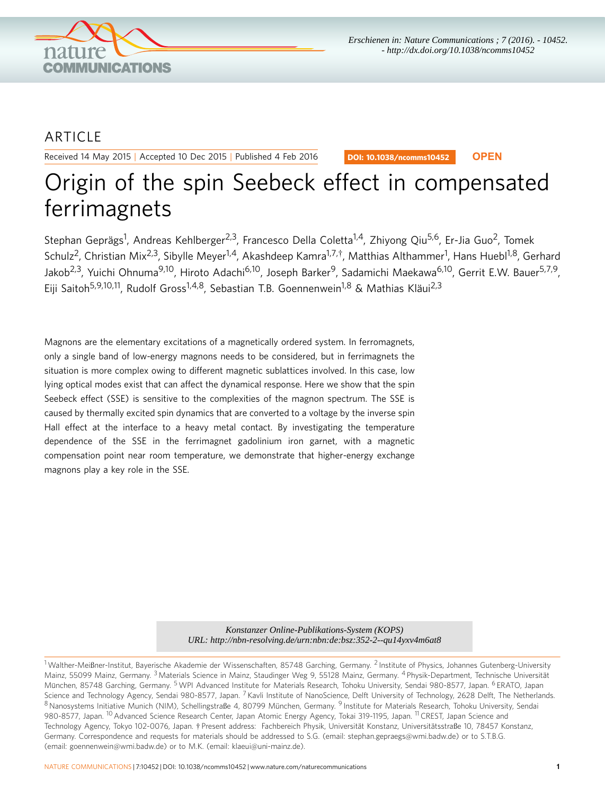

## ARTICLE

Received 14 May 2015 | Accepted 10 Dec 2015 | Published 4 Feb 2016

DOI: 10.1038/ncomms10452 **OPEN**

# Origin of the spin Seebeck effect in compensated ferrimagnets

Stephan Geprägs<sup>1</sup>, Andreas Kehlberger<sup>2,3</sup>, Francesco Della Coletta<sup>1,4</sup>, Zhiyong Qiu<sup>5,6</sup>, Er-Jia Guo<sup>2</sup>, Tomek Schulz<sup>2</sup>, Christian Mix<sup>2,3</sup>, Sibylle Meyer<sup>1,4</sup>, Akashdeep Kamra<sup>1,7,†</sup>, Matthias Althammer<sup>1</sup>, Hans Huebl<sup>1,8</sup>, Gerhard Jakob<sup>2,3</sup>, Yuichi Ohnuma<sup>9,10</sup>, Hiroto Adachi<sup>6,10</sup>, Joseph Barker<sup>9</sup>, Sadamichi Maekawa<sup>6,10</sup>, Gerrit E.W. Bauer<sup>5,7,9</sup>, Eiji Saitoh<sup>5,9,10,11</sup>, Rudolf Gross<sup>1,4,8</sup>, Sebastian T.B. Goennenwein<sup>1,8</sup> & Mathias Kläui<sup>2,3</sup>

Magnons are the elementary excitations of a magnetically ordered system. In ferromagnets, only a single band of low-energy magnons needs to be considered, but in ferrimagnets the situation is more complex owing to different magnetic sublattices involved. In this case, low lying optical modes exist that can affect the dynamical response. Here we show that the spin Seebeck effect (SSE) is sensitive to the complexities of the magnon spectrum. The SSE is caused by thermally excited spin dynamics that are converted to a voltage by the inverse spin Hall effect at the interface to a heavy metal contact. By investigating the temperature dependence of the SSE in the ferrimagnet gadolinium iron garnet, with a magnetic compensation point near room temperature, we demonstrate that higher-energy exchange magnons play a key role in the SSE.

> *Konstanzer Online-Publikations-System (KOPS) [URL: http://nbn-resolving.de/urn:nbn:de:bsz:352-2--qu14yxv4m6at8](http://nbn-resolving.de/urn:nbn:de:bsz:352-2--qu14yxv4m6at8)*

<sup>&</sup>lt;sup>1</sup> Walther-Meißner-Institut, Bayerische Akademie der Wissenschaften, 85748 Garching, Germany. <sup>2</sup> Institute of Physics, Johannes Gutenberg-University Mainz, 55099 Mainz, Germany. <sup>3</sup> Materials Science in Mainz, Staudinger Weg 9, 55128 Mainz, Germany. <sup>4</sup> Physik-Department, Technische Universität München, 85748 Garching, Germany. <sup>5</sup>WPI Advanced Institute for Materials Research, Tohoku University, Sendai 980-8577, Japan. <sup>6</sup> ERATO, Japan Science and Technology Agency, Sendai 980-8577, Japan. <sup>7</sup> Kavli Institute of NanoScience, Delft University of Technology, 2628 Delft, The Netherlands. <sup>8</sup> Nanosystems Initiative Munich (NIM), Schellingstraße 4, 80799 München, Germany. <sup>9</sup> Institute for Materials Research, Tohoku University, Sendai 980-8577, Japan. <sup>10</sup> Advanced Science Research Center, Japan Atomic Energy Agency, Tokai 319-1195, Japan. <sup>11</sup> CREST, Japan Science and Technology Agency, Tokyo 102-0076, Japan. † Present address: Fachbereich Physik, Universität Konstanz, Universitätsstraße 10, 78457 Konstanz,<br>Germany Correspondence and requests for materials should be addressed to S.G. ( Germany. Correspondence and requests for materials should be addressed to S.G. (email: [stephan.gepraegs@wmi.badw.de\)](mailto:stephan.gepraegs@wmi.badw.de) or to S.T.B.G. (email: [goennenwein@wmi.badw.de](mailto:goennenwein@wmi.badw.de)) or to M.K. (email: [klaeui@uni-mainz.de\)](mailto:klaeui@uni-mainz.de).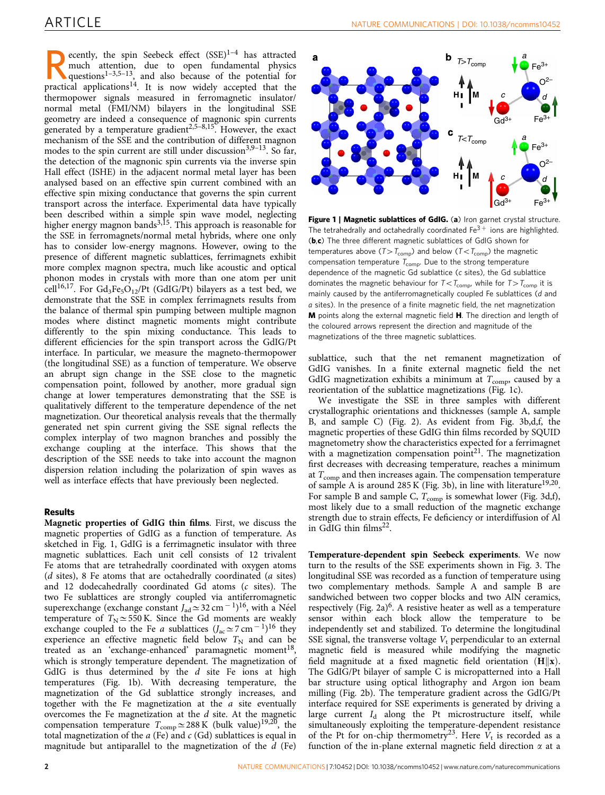<span id="page-1-0"></span>ecently, the spin Seebeck effect  $(SSE)^{1-4}$  has attracted<br>much attention, due to open fundamental physics<br>questions<sup>1-3,5–13</sup>, and also because of the potential for<br>prectical applications<sup>14</sup>. It is now widely accepted th much attention, due to open fundamental physics practical applications<sup>14</sup>. It is now widely accepted that the thermopower signals measured in ferromagnetic insulator/ normal metal (FMI/NM) bilayers in the longitudinal SSE geometry are indeed a consequence of magnonic spin currents generated by a temperature gradient<sup>[2,5–8,15](#page-4-0)</sup>. However, the exact mechanism of the SSE and the contribution of different magnon modes to the spin current are still under discussion<sup>3,9–13</sup>. So far, the detection of the magnonic spin currents via the inverse spin Hall effect (ISHE) in the adjacent normal metal layer has been analysed based on an effective spin current combined with an effective spin mixing conductance that governs the spin current transport across the interface. Experimental data have typically been described within a simple spin wave model, neglecting higher energy magnon bands<sup>[3,15](#page-4-0)</sup>. This approach is reasonable for the SSE in ferromagnets/normal metal hybrids, where one only has to consider low-energy magnons. However, owing to the presence of different magnetic sublattices, ferrimagnets exhibit more complex magnon spectra, much like acoustic and optical phonon modes in crystals with more than one atom per unit cell<sup>16,17</sup>. For  $Gd_3Fe_5O_{12}/Pt$  (GdIG/Pt) bilayers as a test bed, we demonstrate that the SSE in complex ferrimagnets results from the balance of thermal spin pumping between multiple magnon modes where distinct magnetic moments might contribute differently to the spin mixing conductance. This leads to different efficiencies for the spin transport across the GdIG/Pt interface. In particular, we measure the magneto-thermopower (the longitudinal SSE) as a function of temperature. We observe an abrupt sign change in the SSE close to the magnetic compensation point, followed by another, more gradual sign change at lower temperatures demonstrating that the SSE is qualitatively different to the temperature dependence of the net magnetization. Our theoretical analysis reveals that the thermally generated net spin current giving the SSE signal reflects the complex interplay of two magnon branches and possibly the exchange coupling at the interface. This shows that the description of the SSE needs to take into account the magnon dispersion relation including the polarization of spin waves as well as interface effects that have previously been neglected.

## Results

Magnetic properties of GdIG thin films. First, we discuss the magnetic properties of GdIG as a function of temperature. As sketched in Fig. 1, GdIG is a ferrimagnetic insulator with three magnetic sublattices. Each unit cell consists of 12 trivalent Fe atoms that are tetrahedrally coordinated with oxygen atoms  $(d \text{ sites})$ , 8 Fe atoms that are octahedrally coordinated  $(a \text{ sites})$ and 12 dodecahedrally coordinated Gd atoms (c sites). The two Fe sublattices are strongly coupled via antiferromagnetic superexchange (exchange constant  $J_{ad} \simeq 32 \text{ cm}^{-1}$ )<sup>[16](#page-4-0)</sup>, with a Néel temperature of  $T_N \approx 550$  K. Since the Gd moments are weakly exchange coupled to the Fe *a* sublattices  $(J_{ac} \simeq 7 \text{ cm}^{-1})^{16}$  $(J_{ac} \simeq 7 \text{ cm}^{-1})^{16}$  $(J_{ac} \simeq 7 \text{ cm}^{-1})^{16}$  they experience an effective magnetic field below  $T_N$  and can be treated as an 'exchange-enhanced' paramagnetic moment<sup>18</sup>, which is strongly temperature dependent. The magnetization of GdIG is thus determined by the  $d$  site Fe ions at high temperatures (Fig. 1b). With decreasing temperature, the magnetization of the Gd sublattice strongly increases, and together with the Fe magnetization at the  $a$  site eventually overcomes the Fe magnetization at the  $d$  site. At the magnetic compensation temperature  $T_{\text{comp}} \simeq 288 \text{ K}$  (bulk value)<sup>[19,20](#page-4-0)</sup>, the total magnetization of the  $a$  (Fe) and  $c$  (Gd) sublattices is equal in magnitude but antiparallel to the magnetization of the  $d$  (Fe)



Figure 1 | Magnetic sublattices of GdIG. (a) Iron garnet crystal structure. The tetrahedrally and octahedrally coordinated  $Fe^{3+}$  ions are highlighted. (b,c) The three different magnetic sublattices of GdIG shown for temperatures above ( $T>T_{\text{comp}}$ ) and below ( $T < T_{\text{comp}}$ ) the magnetic compensation temperature  $T_{\text{comp}}$ . Due to the strong temperature dependence of the magnetic Gd sublattice (c sites), the Gd sublattice dominates the magnetic behaviour for  $T < T_{\text{comp}}$ , while for  $T > T_{\text{comp}}$  it is mainly caused by the antiferromagnetically coupled Fe sublattices (d and a sites). In the presence of a finite magnetic field, the net magnetization M points along the external magnetic field **H**. The direction and length of the coloured arrows represent the direction and magnitude of the magnetizations of the three magnetic sublattices.

sublattice, such that the net remanent magnetization of GdIG vanishes. In a finite external magnetic field the net GdIG magnetization exhibits a minimum at  $T_{\text{comp}}$ , caused by a reorientation of the sublattice magnetizations (Fig. 1c).

We investigate the SSE in three samples with different crystallographic orientations and thicknesses (sample A, sample B, and sample C) ([Fig. 2](#page-2-0)). As evident from [Fig. 3b,d,f](#page-2-0), the magnetic properties of these GdIG thin films recorded by SQUID magnetometry show the characteristics expected for a ferrimagnet with a magnetization compensation point<sup>21</sup>. The magnetization first decreases with decreasing temperature, reaches a minimum at  $T_{\text{comp}}$  and then increases again. The compensation temperature of sample A is around 285 K ([Fig. 3b](#page-2-0)), in line with literature<sup>19,20</sup>. For sample B and sample C,  $T_{\text{comp}}$  is somewhat lower ([Fig. 3d,f](#page-2-0)), most likely due to a small reduction of the magnetic exchange strength due to strain effects, Fe deficiency or interdiffusion of Al in GdIG thin films $^{22}$  $^{22}$  $^{22}$ .

Temperature-dependent spin Seebeck experiments. We now turn to the results of the SSE experiments shown in [Fig. 3](#page-2-0). The longitudinal SSE was recorded as a function of temperature using two complementary methods. Sample A and sample B are sandwiched between two copper blocks and two AlN ceramics, respectively ([Fig. 2a](#page-2-0))<sup>6</sup>. A resistive heater as well as a temperature sensor within each block allow the temperature to be independently set and stabilized. To determine the longitudinal SSE signal, the transverse voltage  $V_t$  perpendicular to an external magnetic field is measured while modifying the magnetic field magnitude at a fixed magnetic field orientation  $(H||x)$ . The GdIG/Pt bilayer of sample C is micropatterned into a Hall bar structure using optical lithography and Argon ion beam milling [\(Fig. 2b](#page-2-0)). The temperature gradient across the GdIG/Pt interface required for SSE experiments is generated by driving a large current  $I_d$  along the Pt microstructure itself, while simultaneously exploiting the temperature-dependent resistance of the Pt for on-chip thermometry<sup>[23](#page-5-0)</sup>. Here  $V_t$  is recorded as a function of the in-plane external magnetic field direction  $\alpha$  at a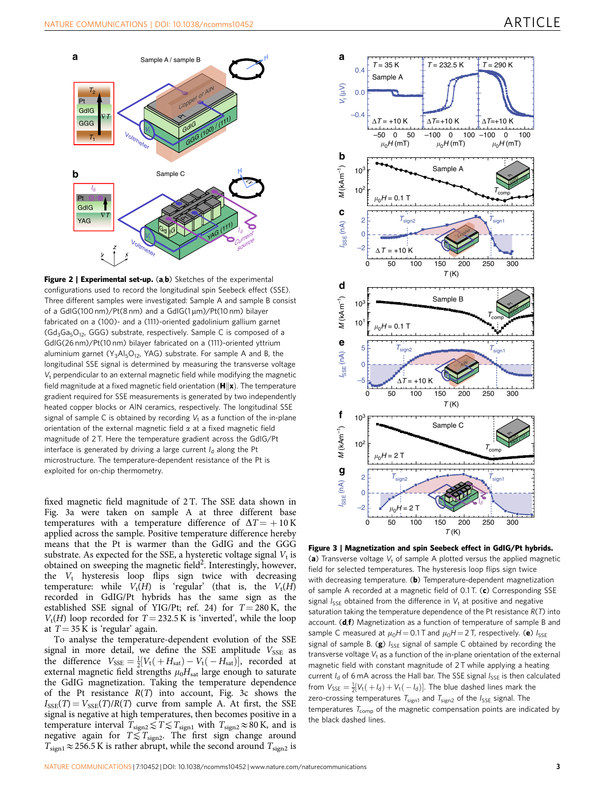<span id="page-2-0"></span>

Figure 2 | Experimental set-up. (a,b) Sketches of the experimental configurations used to record the longitudinal spin Seebeck effect (SSE). Three different samples were investigated: Sample A and sample B consist of a GdIG(100 nm)/Pt(8 nm) and a GdIG(1  $\mu$ m)/Pt(10 nm) bilayer fabricated on a (100)- and a (111)-oriented gadolinium gallium garnet  $(Gd_3Ga_5O_{12}$ , GGG) substrate, respectively. Sample C is composed of a GdIG(26 nm)/Pt(10 nm) bilayer fabricated on a (111)-oriented yttrium aluminium garnet  $(Y_3AI_5O_{12}$ , YAG) substrate. For sample A and B, the longitudinal SSE signal is determined by measuring the transverse voltage  $V<sub>t</sub>$  perpendicular to an external magnetic field while modifying the magnetic field magnitude at a fixed magnetic field orientation  $(H \| x)$ . The temperature gradient required for SSE measurements is generated by two independently heated copper blocks or AlN ceramics, respectively. The longitudinal SSE signal of sample C is obtained by recording  $V_t$  as a function of the in-plane orientation of the external magnetic field  $\alpha$  at a fixed magnetic field magnitude of 2 T. Here the temperature gradient across the GdIG/Pt interface is generated by driving a large current  $I_d$  along the Pt microstructure. The temperature-dependent resistance of the Pt is exploited for on-chip thermometry.

fixed magnetic field magnitude of 2 T. The SSE data shown in Fig. 3a were taken on sample A at three different base temperatures with a temperature difference of  $\Delta T = +10$  K applied across the sample. Positive temperature difference hereby means that the Pt is warmer than the GdIG and the GGG substrate. As expected for the SSE, a hysteretic voltage signal  $V_t$  is obtained on sweeping the magnetic field<sup>2</sup>. Interestingly, however, the  $V_t$  hysteresis loop flips sign twice with decreasing temperature: while  $V_t(H)$  is 'regular' (that is, the  $V_t(H)$ ) recorded in GdIG/Pt hybrids has the same sign as the established SSE signal of YIG/Pt; [ref. 24](#page-5-0)) for  $T = 280$  K, the  $V_t(H)$  loop recorded for  $T = 232.5$  K is 'inverted', while the loop at  $T = 35$  K is 'regular' again.

To analyse the temperature-dependent evolution of the SSE signal in more detail, we define the SSE amplitude  $V_{\text{SSE}}$  as the difference  $V_{\text{SSE}} = \frac{1}{2} [V_t ( H_{\text{sat}}) - V_t ( - H_{\text{sat}}) ]$ , recorded at external magnetic field strengths  $\mu_0H_{\text{sat}}$  large enough to saturate the GdIG magnetization. Taking the temperature dependence of the Pt resistance  $R(T)$  into account, Fig. 3c shows the  $I_{SSE}(T) = V_{SSE}(T)/R(T)$  curve from sample A. At first, the SSE signal is negative at high temperatures, then becomes positive in a temperature interval  $T_{\mathrm{sign2}}{\lesssim}T{\lesssim}T_{\mathrm{sign1}}$  with  $T_{\mathrm{sign2}}{\approx}80\,\mathrm{K},$  and is negative again for  $T \lesssim T_{\text{sign2}}$ . The first sign change around  $T_{\text{sign1}} \approx 256.5 \text{ K}$  is rather abrupt, while the second around  $T_{\text{sign2}}$  is



Figure 3 | Magnetization and spin Seebeck effect in GdIG/Pt hybrids. (a) Transverse voltage  $V_t$  of sample A plotted versus the applied magnetic field for selected temperatures. The hysteresis loop flips sign twice with decreasing temperature. (b) Temperature-dependent magnetization of sample A recorded at a magnetic field of 0.1 T. (c) Corresponding SSE signal  $I_{SSE}$  obtained from the difference in  $V_t$  at positive and negative saturation taking the temperature dependence of the Pt resistance  $R(T)$  into account. (d,f) Magnetization as a function of temperature of sample B and sample C measured at  $\mu_0H = 0.1$  T and  $\mu_0H = 2$  T, respectively. (e)  $I_{\text{SSE}}$ signal of sample B. (g)  $I_{SSE}$  signal of sample C obtained by recording the transverse voltage  $V_t$  as a function of the in-plane orientation of the external magnetic field with constant magnitude of 2 T while applying a heating current  $I_d$  of 6 mA across the Hall bar. The SSE signal  $I_{SSE}$  is then calculated from  $V_{SSE} = \frac{1}{2}[V_t(1 - I_d) + V_t(-I_d)]$ . The blue dashed lines mark the zero-crossing temperatures  $T_{\text{sign1}}$  and  $T_{\text{sign2}}$  of the  $I_{\text{SSE}}$  signal. The temperatures  $T_{\text{comp}}$  of the magnetic compensation points are indicated by the black dashed lines.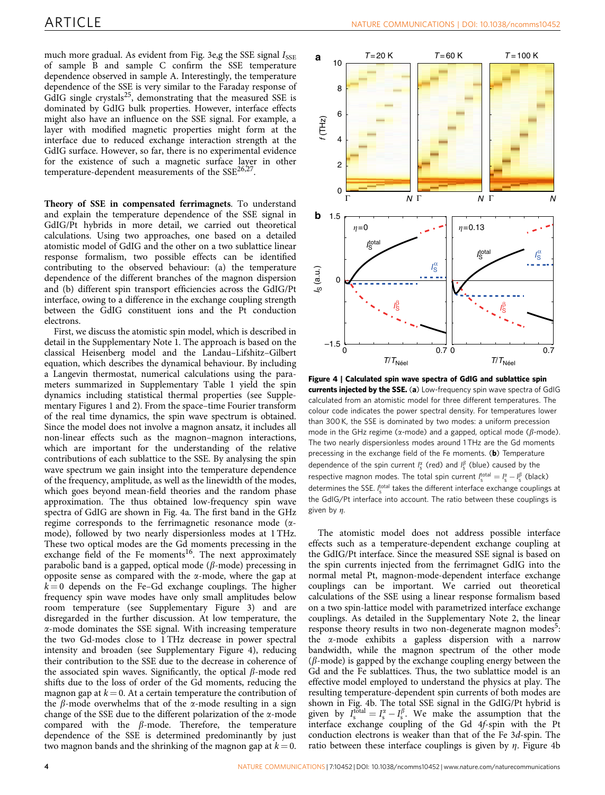<span id="page-3-0"></span>much more gradual. As evident from [Fig. 3e,g](#page-2-0) the SSE signal  $I_{\text{SSE}}$ of sample B and sample C confirm the SSE temperature dependence observed in sample A. Interestingly, the temperature dependence of the SSE is very similar to the Faraday response of GdIG single crystals<sup>[25](#page-5-0)</sup>, demonstrating that the measured SSE is dominated by GdIG bulk properties. However, interface effects might also have an influence on the SSE signal. For example, a layer with modified magnetic properties might form at the interface due to reduced exchange interaction strength at the GdIG surface. However, so far, there is no experimental evidence for the existence of such a magnetic surface layer in other temperature-dependent measurements of the SSE<sup>26,27</sup>.

Theory of SSE in compensated ferrimagnets. To understand and explain the temperature dependence of the SSE signal in GdIG/Pt hybrids in more detail, we carried out theoretical calculations. Using two approaches, one based on a detailed atomistic model of GdIG and the other on a two sublattice linear response formalism, two possible effects can be identified contributing to the observed behaviour: (a) the temperature dependence of the different branches of the magnon dispersion and (b) different spin transport efficiencies across the GdIG/Pt interface, owing to a difference in the exchange coupling strength between the GdIG constituent ions and the Pt conduction electrons.

First, we discuss the atomistic spin model, which is described in detail in the Supplementary Note 1. The approach is based on the classical Heisenberg model and the Landau–Lifshitz–Gilbert equation, which describes the dynamical behaviour. By including a Langevin thermostat, numerical calculations using the parameters summarized in Supplementary Table 1 yield the spin dynamics including statistical thermal properties (see Supplementary Figures 1 and 2). From the space–time Fourier transform of the real time dynamics, the spin wave spectrum is obtained. Since the model does not involve a magnon ansatz, it includes all non-linear effects such as the magnon–magnon interactions, which are important for the understanding of the relative contributions of each sublattice to the SSE. By analysing the spin wave spectrum we gain insight into the temperature dependence of the frequency, amplitude, as well as the linewidth of the modes, which goes beyond mean-field theories and the random phase approximation. The thus obtained low-frequency spin wave spectra of GdIG are shown in Fig. 4a. The first band in the GHz regime corresponds to the ferrimagnetic resonance mode (amode), followed by two nearly dispersionless modes at 1 THz. These two optical modes are the Gd moments precessing in the exchange field of the Fe moments<sup>16</sup>. The next approximately parabolic band is a gapped, optical mode ( $\beta$ -mode) precessing in opposite sense as compared with the  $\alpha$ -mode, where the gap at  $k = 0$  depends on the Fe–Gd exchange couplings. The higher frequency spin wave modes have only small amplitudes below room temperature (see Supplementary Figure 3) and are disregarded in the further discussion. At low temperature, the a-mode dominates the SSE signal. With increasing temperature the two Gd-modes close to 1 THz decrease in power spectral intensity and broaden (see Supplementary Figure 4), reducing their contribution to the SSE due to the decrease in coherence of the associated spin waves. Significantly, the optical  $\beta$ -mode red shifts due to the loss of order of the Gd moments, reducing the magnon gap at  $k = 0$ . At a certain temperature the contribution of the  $\beta$ -mode overwhelms that of the  $\alpha$ -mode resulting in a sign change of the SSE due to the different polarization of the  $\alpha$ -mode compared with the  $\beta$ -mode. Therefore, the temperature dependence of the SSE is determined predominantly by just two magnon bands and the shrinking of the magnon gap at  $k = 0$ .



Figure 4 | Calculated spin wave spectra of GdIG and sublattice spin currents injected by the SSE. (a) Low-frequency spin wave spectra of GdIG calculated from an atomistic model for three different temperatures. The colour code indicates the power spectral density. For temperatures lower than 300 K, the SSE is dominated by two modes: a uniform precession mode in the GHz regime ( $\alpha$ -mode) and a gapped, optical mode ( $\beta$ -mode). The two nearly dispersionless modes around 1 THz are the Gd moments precessing in the exchange field of the Fe moments.  $(b)$  Temperature dependence of the spin current  $\int_{s}^{\alpha}$  (red) and  $\int_{s}^{\beta}$  (blue) caused by the respective magnon modes. The total spin current  $I_s^{\text{total}} = I_s^{\alpha} - I_s^{\beta}$  (black) determines the SSE.  $I_{s}^{\text{total}}$  takes the different interface exchange couplings at the GdIG/Pt interface into account. The ratio between these couplings is given by  $\eta$ .

The atomistic model does not address possible interface effects such as a temperature-dependent exchange coupling at the GdIG/Pt interface. Since the measured SSE signal is based on the spin currents injected from the ferrimagnet GdIG into the normal metal Pt, magnon-mode-dependent interface exchange couplings can be important. We carried out theoretical calculations of the SSE using a linear response formalism based on a two spin-lattice model with parametrized interface exchange couplings. As detailed in the Supplementary Note 2, the linear response theory results in two non-degenerate magnon modes<sup>5</sup>: the  $\alpha$ -mode exhibits a gapless dispersion with a narrow bandwidth, while the magnon spectrum of the other mode  $(\beta$ -mode) is gapped by the exchange coupling energy between the Gd and the Fe sublattices. Thus, the two sublattice model is an effective model employed to understand the physics at play. The resulting temperature-dependent spin currents of both modes are shown in Fig. 4b. The total SSE signal in the GdIG/Pt hybrid is given by  $I_s^{\text{total}} = I_s^{\alpha} - I_s^{\beta}$ . We make the assumption that the interface exchange coupling of the Gd 4f-spin with the Pt conduction electrons is weaker than that of the Fe 3d-spin. The ratio between these interface couplings is given by  $\eta$ . Figure 4b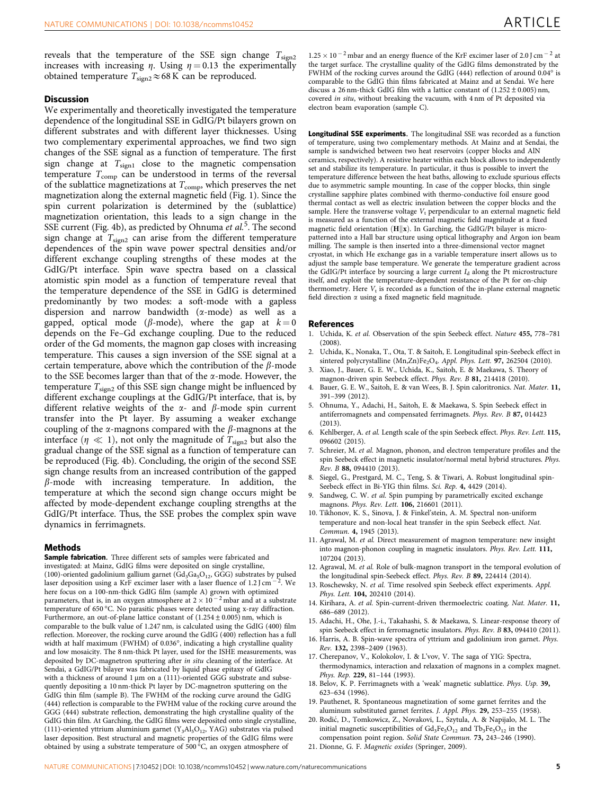<span id="page-4-0"></span>reveals that the temperature of the SSE sign change  $T_{\text{sign2}}$ increases with increasing  $\eta$ . Using  $\eta = 0.13$  the experimentally obtained temperature  $T_{\text{sign2}} \approx 68 \text{ K}$  can be reproduced.

## Discussion

We experimentally and theoretically investigated the temperature dependence of the longitudinal SSE in GdIG/Pt bilayers grown on different substrates and with different layer thicknesses. Using two complementary experimental approaches, we find two sign changes of the SSE signal as a function of temperature. The first sign change at  $T_{\text{sign1}}$  close to the magnetic compensation temperature  $T_{\text{comp}}$  can be understood in terms of the reversal of the sublattice magnetizations at  $T_{\text{comp}}$ , which preserves the net magnetization along the external magnetic field ([Fig. 1\)](#page-1-0). Since the spin current polarization is determined by the (sublattice) magnetization orientation, this leads to a sign change in the SSE current [\(Fig. 4b\)](#page-3-0), as predicted by Ohnuma *et al.*<sup>5</sup>. The second sign change at  $T_{\text{sign2}}$  can arise from the different temperature dependences of the spin wave power spectral densities and/or different exchange coupling strengths of these modes at the GdIG/Pt interface. Spin wave spectra based on a classical atomistic spin model as a function of temperature reveal that the temperature dependence of the SSE in GdIG is determined predominantly by two modes: a soft-mode with a gapless dispersion and narrow bandwidth (a-mode) as well as a gapped, optical mode ( $\beta$ -mode), where the gap at  $k = 0$ depends on the Fe–Gd exchange coupling. Due to the reduced order of the Gd moments, the magnon gap closes with increasing temperature. This causes a sign inversion of the SSE signal at a certain temperature, above which the contribution of the  $\beta$ -mode to the SSE becomes larger than that of the  $\alpha$ -mode. However, the temperature  $T_{\text{sign2}}$  of this SSE sign change might be influenced by different exchange couplings at the GdIG/Pt interface, that is, by different relative weights of the  $\alpha$ - and  $\beta$ -mode spin current transfer into the Pt layer. By assuming a weaker exchange coupling of the  $\alpha$ -magnons compared with the  $\beta$ -magnons at the interface ( $\eta \ll 1$ ), not only the magnitude of  $T_{\text{sign2}}$  but also the gradual change of the SSE signal as a function of temperature can be reproduced ([Fig. 4b](#page-3-0)). Concluding, the origin of the second SSE sign change results from an increased contribution of the gapped  $\beta$ -mode with increasing temperature. In addition, the temperature at which the second sign change occurs might be affected by mode-dependent exchange coupling strengths at the GdIG/Pt interface. Thus, the SSE probes the complex spin wave dynamics in ferrimagnets.

#### Methods

Sample fabrication. Three different sets of samples were fabricated and investigated: at Mainz, GdIG films were deposited on single crystalline, (100)-oriented gadolinium gallium garnet ( $Gd_3Ga_5O_{12}$ ,  $GGG$ ) substrates by pulsed laser deposition using a KrF excimer laser with a laser fluence of 1.2 J cm  $^{-2}$ . We here focus on a 100-nm-thick GdIG film (sample A) grown with optimized parameters, that is, in an oxygen atmosphere at 2  $\times$  10  $^{-2}$  mbar and at a substrate temperature of 650 °C. No parasitic phases were detected using x-ray diffraction. Furthermore, an out-of-plane lattice constant of  $(1.254 \pm 0.005)$  nm, which is comparable to the bulk value of 1.247 nm, is calculated using the GdIG (400) film reflection. Moreover, the rocking curve around the GdIG (400) reflection has a full width at half maximum (FWHM) of 0.036°, indicating a high crystalline quality and low mosaicity. The 8 nm-thick Pt layer, used for the ISHE measurements, was deposited by DC-magnetron sputtering after in situ cleaning of the interface. At Sendai, a GdIG/Pt bilayer was fabricated by liquid phase epitaxy of GdIG with a thickness of around  $1 \mu m$  on a (111)-oriented GGG substrate and subsequently depositing a 10 nm-thick Pt layer by DC-magnetron sputtering on the GdIG thin film (sample B). The FWHM of the rocking curve around the GdIG (444) reflection is comparable to the FWHM value of the rocking curve around the GGG (444) substrate reflection, demonstrating the high crystalline quality of the GdIG thin film. At Garching, the GdIG films were deposited onto single crystalline, (111)-oriented yttrium aluminium garnet  $(Y_3AI_5O_{12}$ , YAG) substrates via pulsed laser deposition. Best structural and magnetic properties of the GdIG films were obtained by using a substrate temperature of 500 °C, an oxygen atmosphere of

 $1.25 \times 10^{-2}$  mbar and an energy fluence of the KrF excimer laser of 2.0 J cm<sup>-2</sup> at the target surface. The crystalline quality of the GdIG films demonstrated by the FWHM of the rocking curves around the GdIG  $(444)$  reflection of around 0.04 $^{\circ}$  is comparable to the GdIG thin films fabricated at Mainz and at Sendai. We here discuss a 26 nm-thick GdIG film with a lattice constant of  $(1.252 \pm 0.005)$  nm, covered in situ, without breaking the vacuum, with 4 nm of Pt deposited via electron beam evaporation (sample C).

Longitudinal SSE experiments. The longitudinal SSE was recorded as a function of temperature, using two complementary methods. At Mainz and at Sendai, the sample is sandwiched between two heat reservoirs (copper blocks and AlN ceramics, respectively). A resistive heater within each block allows to independently set and stabilize its temperature. In particular, it thus is possible to invert the temperature difference between the heat baths, allowing to exclude spurious effects due to asymmetric sample mounting. In case of the copper blocks, thin single crystalline sapphire plates combined with thermo-conductive foil ensure good thermal contact as well as electric insulation between the copper blocks and the sample. Here the transverse voltage  $V_t$  perpendicular to an external magnetic field is measured as a function of the external magnetic field magnitude at a fixed magnetic field orientation  $(H \| x)$ . In Garching, the GdIG/Pt bilayer is micropatterned into a Hall bar structure using optical lithography and Argon ion beam milling. The sample is then inserted into a three-dimensional vector magnet cryostat, in which He exchange gas in a variable temperature insert allows us to adjust the sample base temperature. We generate the temperature gradient across the GdIG/Pt interface by sourcing a large current  $I_d$  along the Pt microstructure itself, and exploit the temperature-dependent resistance of the Pt for on-chip thermometry. Here  $V_t$  is recorded as a function of the in-plane external magnetic field direction  $\alpha$  using a fixed magnetic field magnitude.

#### References

- 1. Uchida, K. et al. Observation of the spin Seebeck effect. Nature 455, 778–781 (2008).
- 2. Uchida, K., Nonaka, T., Ota, T. & Saitoh, E. Longitudinal spin-Seebeck effect in sintered polycrystalline (Mn,Zn)Fe<sub>2</sub>O<sub>4</sub>. Appl. Phys. Lett. 97, 262504 (2010).
- 3. Xiao, J., Bauer, G. E. W., Uchida, K., Saitoh, E. & Maekawa, S. Theory of magnon-driven spin Seebeck effect. Phys. Rev. B 81, 214418 (2010).
- 4. Bauer, G. E. W., Saitoh, E. & van Wees, B. J. Spin caloritronics. Nat. Mater. 11, 391–399 (2012).
- 5. Ohnuma, Y., Adachi, H., Saitoh, E. & Maekawa, S. Spin Seebeck effect in antiferromagnets and compensated ferrimagnets. Phys. Rev. B 87, 014423 (2013).
- 6. Kehlberger, A. et al. Length scale of the spin Seebeck effect. Phys. Rev. Lett. 115, 096602 (2015).
- 7. Schreier, M. et al. Magnon, phonon, and electron temperature profiles and the spin Seebeck effect in magnetic insulator/normal metal hybrid structures. Phys. Rev. B 88, 094410 (2013).
- 8. Siegel, G., Prestgard, M. C., Teng, S. & Tiwari, A. Robust longitudinal spin-Seebeck effect in Bi-YIG thin films. Sci. Rep. 4, 4429 (2014).
- Sandweg, C. W. et al. Spin pumping by parametrically excited exchange magnons. Phys. Rev. Lett. 106, 216601 (2011).
- 10. Tikhonov, K. S., Sinova, J. & Finkel'stein, A. M. Spectral non-uniform temperature and non-local heat transfer in the spin Seebeck effect. Nat. Commun. 4, 1945 (2013).
- 11. Agrawal, M. et al. Direct measurement of magnon temperature: new insight into magnon-phonon coupling in magnetic insulators. Phys. Rev. Lett. 111, 107204 (2013).
- 12. Agrawal, M. et al. Role of bulk-magnon transport in the temporal evolution of the longitudinal spin-Seebeck effect. Phys. Rev. B 89, 224414 (2014).
- 13. Roschewsky, N. et al. Time resolved spin Seebeck effect experiments. Appl. Phys. Lett. 104, 202410 (2014).
- 14. Kirihara, A. et al. Spin-current-driven thermoelectric coating. Nat. Mater. 11, 686–689 (2012).
- 15. Adachi, H., Ohe, J.-i., Takahashi, S. & Maekawa, S. Linear-response theory of spin Seebeck effect in ferromagnetic insulators. Phys. Rev. B 83, 094410 (2011).
- 16. Harris, A. B. Spin-wave spectra of yttrium and gadolinium iron garnet. Phys. Rev. 132, 2398–2409 (1963).
- 17. Cherepanov, V., Kolokolov, I. & L'vov, V. The saga of YIG: Spectra, thermodynamics, interaction and relaxation of magnons in a complex magnet. Phys. Rep. 229, 81–144 (1993).
- 18. Belov, K. P. Ferrimagnets with a 'weak' magnetic sublattice. Phys. Usp. 39, 623–634 (1996).
- 19. Pauthenet, R. Spontaneous magnetization of some garnet ferrites and the aluminum substituted garnet ferrites. J. Appl. Phys. 29, 253–255 (1958).
- 20. Rodic´, D., Tomkowicz, Z., Novakovi, L., Szytula, A. & Napijalo, M. L. The initial magnetic susceptibilities of  $Gd_3Fe_5O_{12}$  and  $Tb_3Fe_5O_{12}$  in the compensation point region. Solid State Commun. 73, 243–246 (1990).
- 21. Dionne, G. F. Magnetic oxides (Springer, 2009).